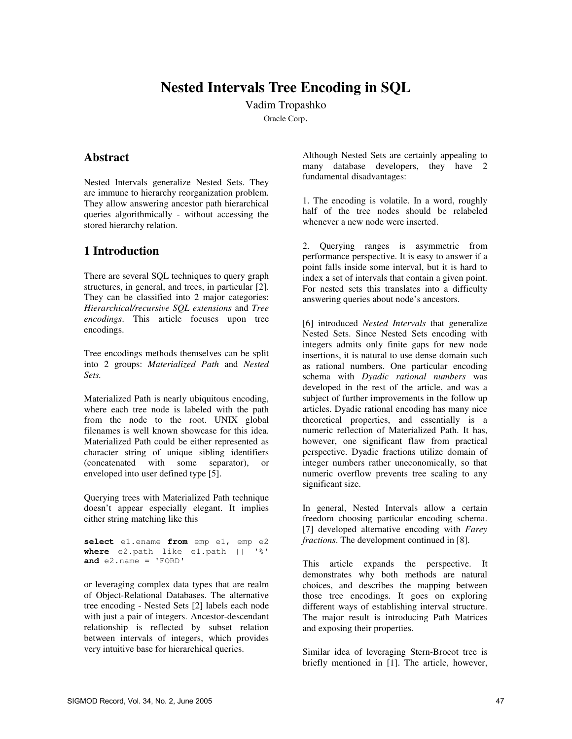# **Nested Intervals Tree Encoding in SQL**

Vadim Tropashko Oracle Corp.

### **Abstract**

Nested Intervals generalize Nested Sets. They are immune to hierarchy reorganization problem. They allow answering ancestor path hierarchical queries algorithmically - without accessing the stored hierarchy relation.

## **1 Introduction**

There are several SQL techniques to query graph structures, in general, and trees, in particular [2]. They can be classified into 2 major categories: *Hierarchical/recursive SQL extensions* and *Tree encodings*. This article focuses upon tree encodings.

Tree encodings methods themselves can be split into 2 groups: *Materialized Path* and *Nested Sets.*

Materialized Path is nearly ubiquitous encoding, where each tree node is labeled with the path from the node to the root. UNIX global filenames is well known showcase for this idea. Materialized Path could be either represented as character string of unique sibling identifiers (concatenated with some separator), or enveloped into user defined type [5].

Querying trees with Materialized Path technique doesn't appear especially elegant. It implies either string matching like this

**select** e1.ename **from** emp e1, emp e2 **where** e2.path like e1.path || '%' **and** e2.name = 'FORD'

or leveraging complex data types that are realm of Object-Relational Databases. The alternative tree encoding - Nested Sets [2] labels each node with just a pair of integers. Ancestor-descendant relationship is reflected by subset relation between intervals of integers, which provides very intuitive base for hierarchical queries.

Although Nested Sets are certainly appealing to many database developers, they have 2 fundamental disadvantages:

1. The encoding is volatile. In a word, roughly half of the tree nodes should be relabeled whenever a new node were inserted.

2. Querying ranges is asymmetric from performance perspective. It is easy to answer if a point falls inside some interval, but it is hard to index a set of intervals that contain a given point. For nested sets this translates into a difficulty answering queries about node's ancestors.

[6] introduced *Nested Intervals* that generalize Nested Sets. Since Nested Sets encoding with integers admits only finite gaps for new node insertions, it is natural to use dense domain such as rational numbers. One particular encoding schema with *Dyadic rational numbers* was developed in the rest of the article, and was a subject of further improvements in the follow up articles. Dyadic rational encoding has many nice theoretical properties, and essentially is a numeric reflection of Materialized Path. It has, however, one significant flaw from practical perspective. Dyadic fractions utilize domain of integer numbers rather uneconomically, so that numeric overflow prevents tree scaling to any significant size.

In general, Nested Intervals allow a certain freedom choosing particular encoding schema. [7] developed alternative encoding with *Farey fractions*. The development continued in [8].

This article expands the perspective. It demonstrates why both methods are natural choices, and describes the mapping between those tree encodings. It goes on exploring different ways of establishing interval structure. The major result is introducing Path Matrices and exposing their properties.

Similar idea of leveraging Stern-Brocot tree is briefly mentioned in [1]. The article, however,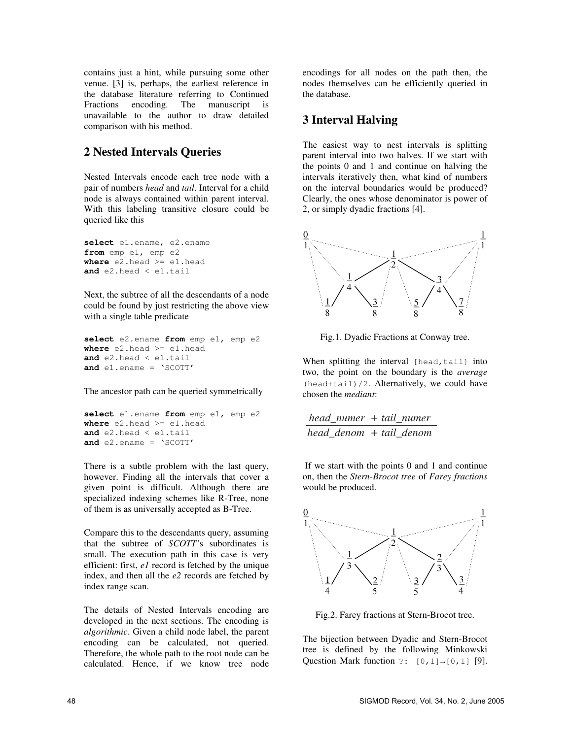contains just a hint, while pursuing some other venue. [3] is, perhaps, the earliest reference in the database literature referring to Continued Fractions encoding. The manuscript is unavailable to the author to draw detailed comparison with his method.

# **2 Nested Intervals Queries**

Nested Intervals encode each tree node with a pair of numbers *head* and *tail*. Interval for a child node is always contained within parent interval. With this labeling transitive closure could be queried like this

```
select e1.ename, e2.ename
from emp e1, emp e2
where e2.head >= e1.head
and e2.head < e1.tail
```
Next, the subtree of all the descendants of a node could be found by just restricting the above view with a single table predicate

```
select e2.ename from emp e1, emp e2
where e2.head >= e1.head
and e2.head < e1.tail
and e1.ename = 'SCOTT'
```
The ancestor path can be queried symmetrically

```
select e1.ename from emp e1, emp e2
where e2.head >= e1.head
and e2.head < e1.tail
and e2.ename = 'SCOTT'
```
There is a subtle problem with the last query, however. Finding all the intervals that cover a given point is difficult. Although there are specialized indexing schemes like R-Tree, none of them is as universally accepted as B-Tree.

Compare this to the descendants query, assuming that the subtree of *SCOTT'*s subordinates is small. The execution path in this case is very efficient: first, *e1* record is fetched by the unique index, and then all the *e2* records are fetched by index range scan.

The details of Nested Intervals encoding are developed in the next sections. The encoding is *algorithmic*. Given a child node label, the parent encoding can be calculated, not queried. Therefore, the whole path to the root node can be calculated. Hence, if we know tree node

encodings for all nodes on the path then, the nodes themselves can be efficiently queried in the database.

## **3 Interval Halving**

The easiest way to nest intervals is splitting parent interval into two halves. If we start with the points 0 and 1 and continue on halving the intervals iteratively then, what kind of numbers on the interval boundaries would be produced? Clearly, the ones whose denominator is power of 2, or simply dyadic fractions [4].



Fig.1. Dyadic Fractions at Conway tree.

When splitting the interval [head,tail] into two, the point on the boundary is the *average* (head+tail)/2. Alternatively, we could have chosen the *mediant*:

*head\_numer* + *tail\_numer head\_denom* + *tail\_denom*

If we start with the points 0 and 1 and continue on, then the *Stern-Brocot tree* of *Farey fractions* would be produced.



Fig.2. Farey fractions at Stern-Brocot tree.

The bijection between Dyadic and Stern-Brocot tree is defined by the following Minkowski Question Mark function ?:  $[0,1] \rightarrow [0,1]$  [9].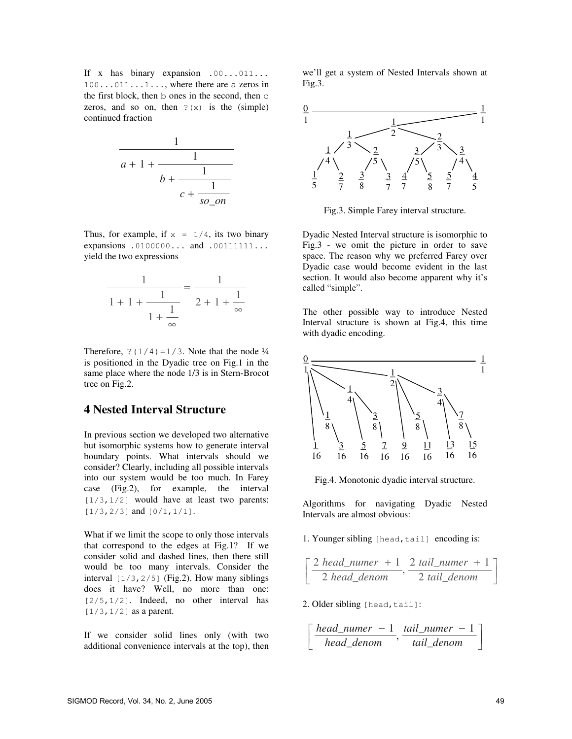If x has binary expansion .00...011...  $100...011...1...$ , where there are a zeros in the first block, then b ones in the second, then c zeros, and so on, then  $? (x)$  is the (simple) continued fraction



Thus, for example, if  $x = 1/4$ , its two binary expansions .0100000... and .00111111... yield the two expressions

$$
\frac{1}{1+1+\frac{1}{1+\frac{1}{\infty}}} = \frac{1}{2+1+\frac{1}{\infty}}
$$

Therefore,  $?(1/4) = 1/3$ . Note that the node  $\frac{1}{4}$ is positioned in the Dyadic tree on Fig.1 in the same place where the node 1/3 is in Stern-Brocot tree on Fig.2.

#### **4 Nested Interval Structure**

In previous section we developed two alternative but isomorphic systems how to generate interval boundary points. What intervals should we consider? Clearly, including all possible intervals into our system would be too much. In Farey case (Fig.2), for example, the interval  $[1/3,1/2]$  would have at least two parents:  $[1/3, 2/3]$  and  $[0/1, 1/1]$ .

What if we limit the scope to only those intervals that correspond to the edges at Fig.1? If we consider solid and dashed lines, then there still would be too many intervals. Consider the interval  $[1/3, 2/5]$  (Fig.2). How many siblings does it have? Well, no more than one: [2/5,1/2]. Indeed, no other interval has  $[1/3, 1/2]$  as a parent.

If we consider solid lines only (with two additional convenience intervals at the top), then

we'll get a system of Nested Intervals shown at Fig.3.



Fig.3. Simple Farey interval structure.

Dyadic Nested Interval structure is isomorphic to Fig.3 - we omit the picture in order to save space. The reason why we preferred Farey over Dyadic case would become evident in the last section. It would also become apparent why it's called "simple".

The other possible way to introduce Nested Interval structure is shown at Fig.4, this time with dyadic encoding.



Fig.4. Monotonic dyadic interval structure.

Algorithms for navigating Dyadic Nested Intervals are almost obvious:

1. Younger sibling [head, tail] encoding is:

$$
\[\frac{2 \text{ head_number} + 1}{2 \text{ head_denom}}, \frac{2 \text{ tail_number} + 1}{2 \text{ tail_denom}}\]
$$

2. Older sibling [head, tail]:

$$
\[\frac{head\_numer - 1}{head\_denom}, \frac{tail\_numer - 1}{tail\_denom}\]
$$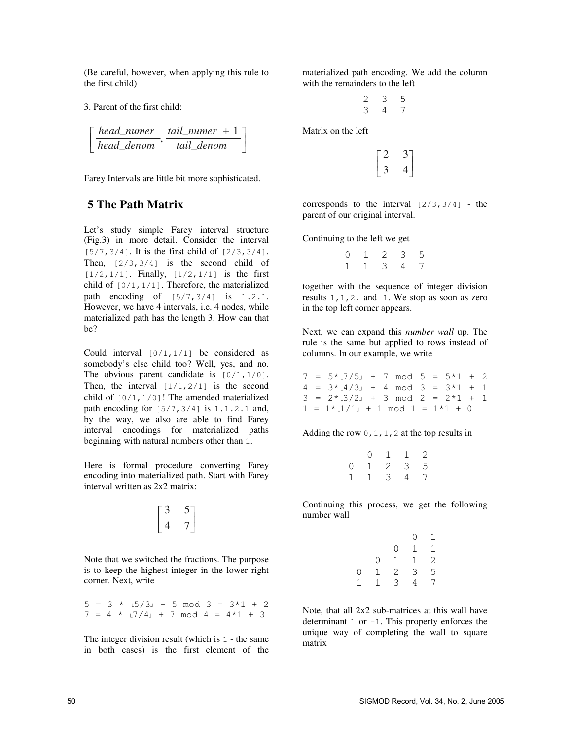(Be careful, however, when applying this rule to the first child)

3. Parent of the first child:

$$
\[\frac{head\_numer}{head\_denom}, \frac{tail\_numer + 1}{tail\_denom}\]
$$

Farey Intervals are little bit more sophisticated.

## **5 The Path Matrix**

Let's study simple Farey interval structure (Fig.3) in more detail. Consider the interval  $[5/7, 3/4]$ . It is the first child of  $[2/3, 3/4]$ . Then,  $[2/3,3/4]$  is the second child of  $[1/2, 1/1]$ . Finally,  $[1/2, 1/1]$  is the first child of  $[0/1, 1/1]$ . Therefore, the materialized path encoding of [5/7,3/4] is 1.2.1. However, we have 4 intervals, i.e. 4 nodes, while materialized path has the length 3. How can that be?

Could interval [0/1,1/1] be considered as somebody's else child too? Well, yes, and no. The obvious parent candidate is  $[0/1, 1/0]$ . Then, the interval  $[1/1,2/1]$  is the second child of  $[0/1, 1/0]$ ! The amended materialized path encoding for  $\lceil 5/7, 3/4 \rceil$  is  $1.1.2.1$  and, by the way, we also are able to find Farey interval encodings for materialized paths beginning with natural numbers other than 1.

Here is formal procedure converting Farey encoding into materialized path. Start with Farey interval written as 2x2 matrix:

$$
\begin{bmatrix} 3 & 5 \ 4 & 7 \end{bmatrix}
$$

Note that we switched the fractions. The purpose is to keep the highest integer in the lower right corner. Next, write

 $5 = 3 * 15/3 + 5 \mod 3 = 3*1 + 2$  $7 = 4 * 17/4 + 7 \mod 4 = 4*1 + 3$ 

The integer division result (which is 1 - the same in both cases) is the first element of the materialized path encoding. We add the column with the remainders to the left

$$
\begin{array}{cccc}\n2 & 3 & 5 \\
3 & 4 & 7\n\end{array}
$$

Matrix on the left

$$
\begin{bmatrix} 2 & 3 \\ 3 & 4 \end{bmatrix}
$$

corresponds to the interval  $[2/3,3/4]$  - the parent of our original interval.

Continuing to the left we get

0 1 2 3 5 1 1 3 4 7

together with the sequence of integer division results 1,1,2, and 1. We stop as soon as zero in the top left corner appears.

Next, we can expand this *number wall* up. The rule is the same but applied to rows instead of columns. In our example, we write

 $7 = 5 \times 17 / 5$  + 7 mod  $5 = 5 \times 1 + 2$  $4 = 3 * 14 / 3$  + 4 mod 3 =  $3 * 1 + 1$  $3 = 2 * 13/2 + 3 \mod 2 = 2 * 1 + 1$  $1 = 1 * 1/1$  + 1 mod  $1 = 1 * 1 + 0$ 

Adding the row  $0, 1, 1, 2$  at the top results in

|          | 0 | 1 | 1 | 2 |
|----------|---|---|---|---|
| $\Omega$ | 1 | 2 | 3 | 5 |
| 1        |   | 3 | 4 | 7 |

Continuing this process, we get the following number wall

|             |   |               | $\circ$      | 1                                            |
|-------------|---|---------------|--------------|----------------------------------------------|
|             |   | 0             | 1            | 1                                            |
|             | 0 | $\mathbf 1$   | $\mathbf{1}$ |                                              |
| $\mathbf 0$ | 1 | $\frac{2}{3}$ | 3            | $\begin{array}{c}\n2 \\ 5 \\ 7\n\end{array}$ |
| 1           | 1 |               | 4            |                                              |

Note, that all 2x2 sub-matrices at this wall have determinant  $1$  or  $-1$ . This property enforces the unique way of completing the wall to square matrix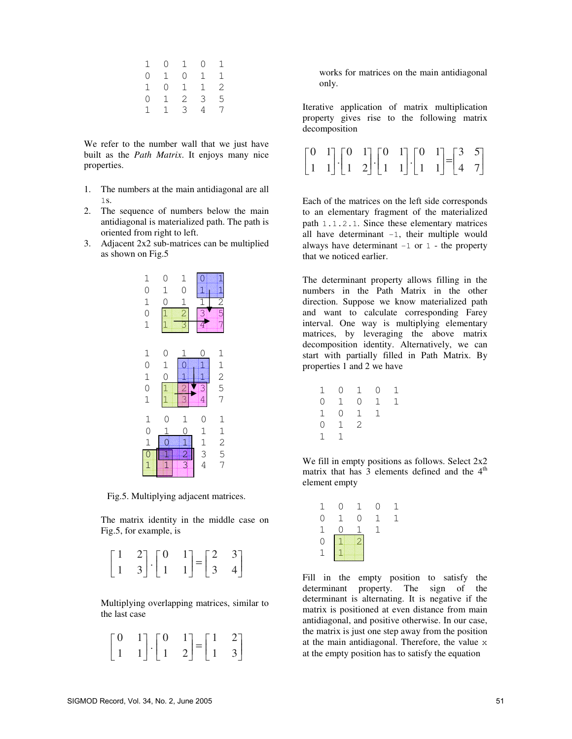| 1              | $\begin{matrix} 0 \end{matrix}$ | 1              | $\overline{0}$ | 1            |
|----------------|---------------------------------|----------------|----------------|--------------|
| $\overline{0}$ | 1                               | 0              | $1 \quad$      | 1            |
| $1 \quad$      | $\overline{0}$                  | 1              | 1              | $\mathbf{2}$ |
| $\circ$        | $\mathbf{1}$                    | $\overline{a}$ | 3              | 5            |
| 1              | 1                               | 3              | $\overline{4}$ | 7            |
|                |                                 |                |                |              |

We refer to the number wall that we just have built as the *Path Matrix*. It enjoys many nice properties.

- 1. The numbers at the main antidiagonal are all 1s.
- 2. The sequence of numbers below the main antidiagonal is materialized path. The path is oriented from right to left.
- 3. Adjacent 2x2 sub-matrices can be multiplied as shown on Fig.5



Fig.5. Multiplying adjacent matrices.

The matrix identity in the middle case on Fig.5, for example, is



Multiplying overlapping matrices, similar to the last case

|  | $\begin{bmatrix} 0 & 1 \\ 1 & 1 \end{bmatrix} \cdot \begin{bmatrix} 0 & 1 \\ 1 & 2 \end{bmatrix} = \begin{bmatrix} 1 & 2 \\ 1 & 3 \end{bmatrix}$ |  |
|--|--------------------------------------------------------------------------------------------------------------------------------------------------|--|

works for matrices on the main antidiagonal only.

Iterative application of matrix multiplication property gives rise to the following matrix decomposition

|  |  | $\begin{bmatrix} 0 & 1 \\ 1 & 1 \end{bmatrix} \cdot \begin{bmatrix} 0 & 1 \\ 1 & 2 \end{bmatrix} \cdot \begin{bmatrix} 0 & 1 \\ 1 & 1 \end{bmatrix} \cdot \begin{bmatrix} 0 & 1 \\ 1 & 1 \end{bmatrix} = \begin{bmatrix} 3 & 5 \\ 4 & 7 \end{bmatrix}$ |  |
|--|--|--------------------------------------------------------------------------------------------------------------------------------------------------------------------------------------------------------------------------------------------------------|--|

Each of the matrices on the left side corresponds to an elementary fragment of the materialized path 1.1.2.1. Since these elementary matrices all have determinant  $-1$ , their multiple would always have determinant  $-1$  or  $1$  - the property that we noticed earlier.

The determinant property allows filling in the numbers in the Path Matrix in the other direction. Suppose we know materialized path and want to calculate corresponding Farey interval. One way is multiplying elementary matrices, by leveraging the above matrix decomposition identity. Alternatively, we can start with partially filled in Path Matrix. By properties 1 and 2 we have

|        |                                        | $\overline{0}$                                                                                                  | 1                    |
|--------|----------------------------------------|-----------------------------------------------------------------------------------------------------------------|----------------------|
|        |                                        |                                                                                                                 | 1                    |
|        |                                        | 1                                                                                                               |                      |
|        |                                        |                                                                                                                 |                      |
| 1<br>1 |                                        |                                                                                                                 |                      |
|        | $\begin{bmatrix} 1 \\ 0 \end{bmatrix}$ | $\begin{matrix} 1 & 0 \\ 0 & 1 \end{matrix}$<br>$\overline{0}$<br>$\overline{0}$<br>$\overline{2}$<br>$1 \quad$ | 1<br>$0\quad 1$<br>1 |

We fill in empty positions as follows. Select  $2x2$ matrix that has  $\overline{3}$  elements defined and the  $4<sup>th</sup>$ element empty

| 1                                          | 0           | L. | 0 | $\mathbf{I}$ |
|--------------------------------------------|-------------|----|---|--------------|
| 0                                          | $\mathbf 1$ | 0  | 1 |              |
|                                            | Ω           |    | 1 |              |
| $\begin{array}{c} 1 \\ 0 \\ 1 \end{array}$ |             |    |   |              |
|                                            |             |    |   |              |

Fill in the empty position to satisfy the determinant property. The sign of the determinant is alternating. It is negative if the matrix is positioned at even distance from main antidiagonal, and positive otherwise. In our case, the matrix is just one step away from the position at the main antidiagonal. Therefore, the value x at the empty position has to satisfy the equation